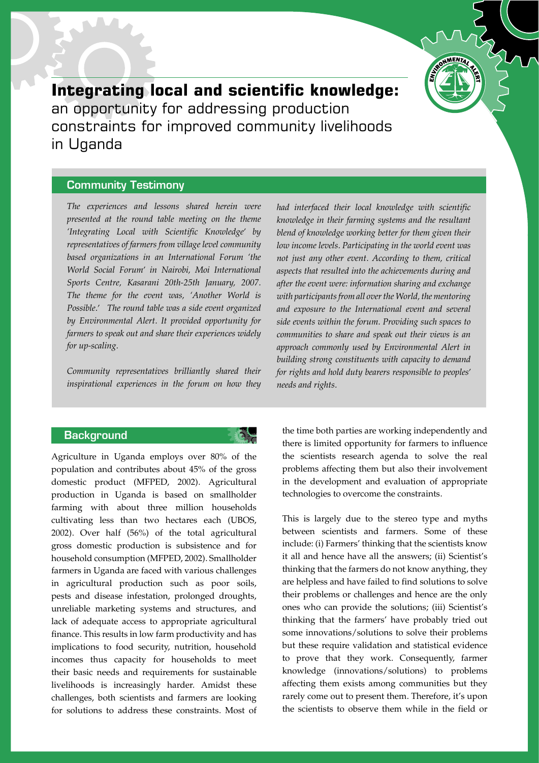

# **Integrating local and scientific knowledge:** an opportunity for addressing production constraints for improved community livelihoods in Uganda

## Community Testimony

The experiences and lessons shared herein were presented at the round table meeting on the theme 'Integrating Local with Scientific Knowledge' by representatives of farmers from village level community based organizations in an International Forum 'the World Social Forum' in Nairobi, Moi International Sports Centre, Kasarani 20th-25th January, 2007. The theme for the event was, 'Another World is Possible.' The round table was a side event organized by Environmental Alert. It provided opportunity for farmers to speak out and share their experiences widely for up-scaling.

Community representatives brilliantly shared their inspirational experiences in the forum on how they

#### **Background**



Agriculture in Uganda employs over 80% of the population and contributes about 45% of the gross domestic product (MFPED, 2002). Agricultural production in Uganda is based on smallholder farming with about three million households cultivating less than two hectares each (UBOS, 2002). Over half (56%) of the total agricultural gross domestic production is subsistence and for household consumption (MFPED, 2002). Smallholder farmers in Uganda are faced with various challenges in agricultural production such as poor soils, pests and disease infestation, prolonged droughts, unreliable marketing systems and structures, and lack of adequate access to appropriate agricultural finance. This results in low farm productivity and has implications to food security, nutrition, household incomes thus capacity for households to meet their basic needs and requirements for sustainable livelihoods is increasingly harder. Amidst these challenges, both scientists and farmers are looking for solutions to address these constraints. Most of had interfaced their local knowledge with scientific knowledge in their farming systems and the resultant blend of knowledge working better for them given their low income levels. Participating in the world event was not just any other event. According to them, critical aspects that resulted into the achievements during and after the event were: information sharing and exchange with participants from all over the World, the mentoring and exposure to the International event and several side events within the forum. Providing such spaces to communities to share and speak out their views is an approach commonly used by Environmental Alert in building strong constituents with capacity to demand for rights and hold duty bearers responsible to peoples' needs and rights.

the time both parties are working independently and there is limited opportunity for farmers to influence the scientists research agenda to solve the real problems affecting them but also their involvement in the development and evaluation of appropriate technologies to overcome the constraints.

This is largely due to the stereo type and myths between scientists and farmers. Some of these include: (i) Farmers' thinking that the scientists know it all and hence have all the answers; (ii) Scientist's thinking that the farmers do not know anything, they are helpless and have failed to find solutions to solve their problems or challenges and hence are the only ones who can provide the solutions; (iii) Scientist's thinking that the farmers' have probably tried out some innovations/solutions to solve their problems but these require validation and statistical evidence to prove that they work. Consequently, farmer knowledge (innovations/solutions) to problems affecting them exists among communities but they rarely come out to present them. Therefore, it's upon the scientists to observe them while in the field or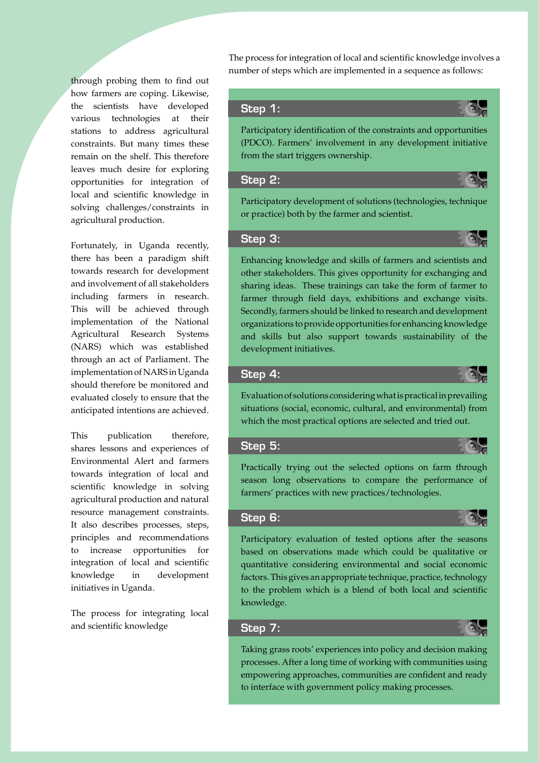through probing them to find out how farmers are coping. Likewise, the scientists have developed various technologies at their stations to address agricultural constraints. But many times these remain on the shelf. This therefore leaves much desire for exploring opportunities for integration of local and scientific knowledge in solving challenges/constraints in agricultural production.

Fortunately, in Uganda recently, there has been a paradigm shift towards research for development and involvement of all stakeholders including farmers in research. This will be achieved through implementation of the National Agricultural Research Systems (NARS) which was established through an act of Parliament. The implementation of NARS in Uganda should therefore be monitored and evaluated closely to ensure that the anticipated intentions are achieved.

This publication therefore, shares lessons and experiences of Environmental Alert and farmers towards integration of local and scientific knowledge in solving agricultural production and natural resource management constraints. It also describes processes, steps, principles and recommendations to increase opportunities for integration of local and scientific knowledge in development initiatives in Uganda.

The process for integrating local and scientific knowledge

The process for integration of local and scientific knowledge involves a number of steps which are implemented in a sequence as follows:

#### Step 1:

Participatory identification of the constraints and opportunities (PDCO). Farmers' involvement in any development initiative from the start triggers ownership.

#### Step 2:



Participatory development of solutions (technologies, technique or practice) both by the farmer and scientist.

#### Step 3:



Enhancing knowledge and skills of farmers and scientists and other stakeholders. This gives opportunity for exchanging and sharing ideas. These trainings can take the form of farmer to farmer through field days, exhibitions and exchange visits. Secondly, farmers should be linked to research and development organizations to provide opportunities for enhancing knowledge and skills but also support towards sustainability of the development initiatives.

#### Step 4:



Evaluation of solutions considering what is practical in prevailing situations (social, economic, cultural, and environmental) from which the most practical options are selected and tried out.

### Step 5:

Practically trying out the selected options on farm through season long observations to compare the performance of farmers' practices with new practices/technologies.

#### Step 6:



Participatory evaluation of tested options after the seasons based on observations made which could be qualitative or quantitative considering environmental and social economic factors. This gives an appropriate technique, practice, technology to the problem which is a blend of both local and scientific knowledge.

# Step 7:



Taking grass roots' experiences into policy and decision making processes. After a long time of working with communities using empowering approaches, communities are confident and ready to interface with government policy making processes.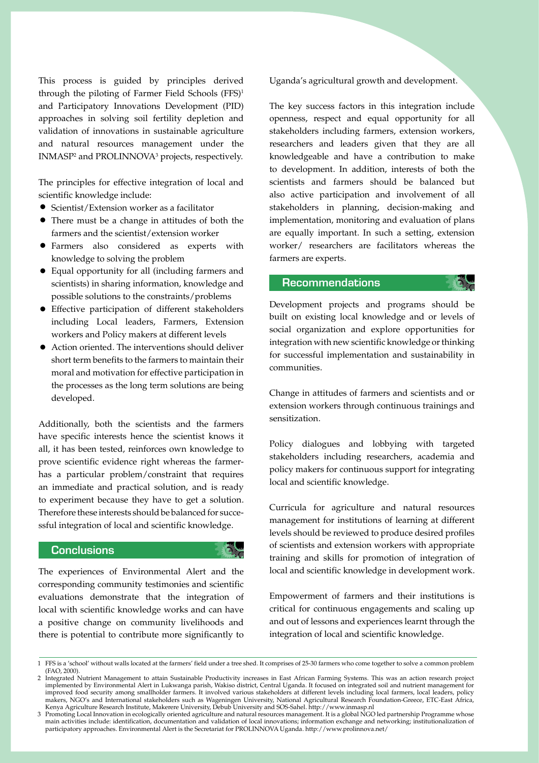This process is guided by principles derived through the piloting of Farmer Field Schools (FFS)<sup>1</sup> and Participatory Innovations Development (PID) approaches in solving soil fertility depletion and validation of innovations in sustainable agriculture and natural resources management under the INMASP<sup>2</sup> and PROLINNOVA<sup>3</sup> projects, respectively.

The principles for effective integration of local and scientific knowledge include:

- Scientist/Extension worker as a facilitator
- There must be a change in attitudes of both the farmers and the scientist/extension worker
- Farmers also considered as experts with knowledge to solving the problem
- Equal opportunity for all (including farmers and scientists) in sharing information, knowledge and possible solutions to the constraints/problems
- Effective participation of different stakeholders including Local leaders, Farmers, Extension workers and Policy makers at different levels
- Action oriented. The interventions should deliver short term benefits to the farmers to maintain their moral and motivation for effective participation in the processes as the long term solutions are being developed.

Additionally, both the scientists and the farmers have specific interests hence the scientist knows it all, it has been tested, reinforces own knowledge to prove scientific evidence right whereas the farmerhas a particular problem/constraint that requires an immediate and practical solution, and is ready to experiment because they have to get a solution. Therefore these interests should be balanced for successful integration of local and scientific knowledge.

# **Conclusions**

The experiences of Environmental Alert and the corresponding community testimonies and scientific evaluations demonstrate that the integration of local with scientific knowledge works and can have a positive change on community livelihoods and there is potential to contribute more significantly to Uganda's agricultural growth and development.

The key success factors in this integration include openness, respect and equal opportunity for all stakeholders including farmers, extension workers, researchers and leaders given that they are all knowledgeable and have a contribution to make to development. In addition, interests of both the scientists and farmers should be balanced but also active participation and involvement of all stakeholders in planning, decision-making and implementation, monitoring and evaluation of plans are equally important. In such a setting, extension worker/ researchers are facilitators whereas the farmers are experts.

#### Recommendations

Development projects and programs should be built on existing local knowledge and or levels of social organization and explore opportunities for integration with new scientific knowledge or thinking for successful implementation and sustainability in communities.

G)

Change in attitudes of farmers and scientists and or extension workers through continuous trainings and sensitization.

Policy dialogues and lobbying with targeted stakeholders including researchers, academia and policy makers for continuous support for integrating local and scientific knowledge.

Curricula for agriculture and natural resources management for institutions of learning at different levels should be reviewed to produce desired profiles of scientists and extension workers with appropriate training and skills for promotion of integration of local and scientific knowledge in development work.

Empowerment of farmers and their institutions is critical for continuous engagements and scaling up and out of lessons and experiences learnt through the integration of local and scientific knowledge.

<sup>1</sup> FFS is a 'school' without walls located at the farmers' field under a tree shed. It comprises of 25-30 farmers who come together to solve a common problem (FAO, 2000).

<sup>2</sup> Integrated Nutrient Management to attain Sustainable Productivity increases in East African Farming Systems. This was an action research project implemented by Environmental Alert in Lukwanga parish, Wakiso district, Central Uganda. It focused on integrated soil and nutrient management for improved food security among smallholder farmers. It involved various stakeholders at different levels including local farmers, local leaders, policy makers, NGO's and International stakeholders such as Wageningen University, National Agricultural Research Foundation-Greece, ETC-East Africa, Kenya Agriculture Research Institute, Makerere University, Debub University and SOS-Sahel. http://www.inmasp.nl

<sup>3</sup> Promoting Local Innovation in ecologically oriented agriculture and natural resources management. It is a global NGO led partnership Programme whose main activities include: identification, documentation and validation of local innovations; information exchange and networking; institutionalization of participatory approaches. Environmental Alert is the Secretariat for PROLINNOVA Uganda. http://www.prolinnova.net/